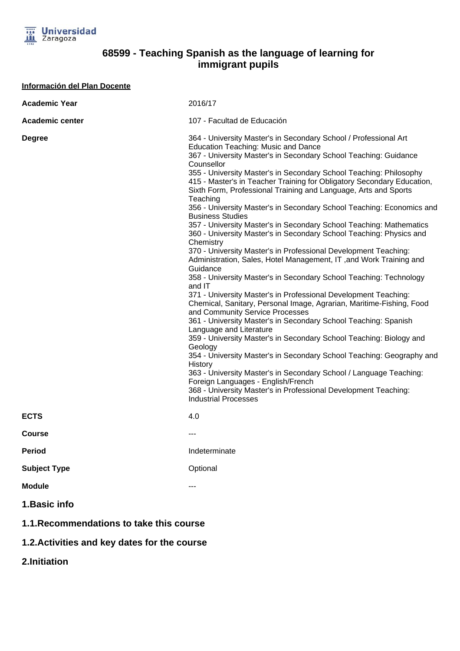

## **68599 - Teaching Spanish as the language of learning for immigrant pupils**

| <b>Información del Plan Docente</b>      |                                                                                                                                                                                                                                                                                                                                                                                                                                                                                                                                                                                                                                                                                                                                                                                                                                                                                                                                                                                                                                                                                                                                                                                                                                                                                                                                                                                                                                                                                                                                                                                                     |
|------------------------------------------|-----------------------------------------------------------------------------------------------------------------------------------------------------------------------------------------------------------------------------------------------------------------------------------------------------------------------------------------------------------------------------------------------------------------------------------------------------------------------------------------------------------------------------------------------------------------------------------------------------------------------------------------------------------------------------------------------------------------------------------------------------------------------------------------------------------------------------------------------------------------------------------------------------------------------------------------------------------------------------------------------------------------------------------------------------------------------------------------------------------------------------------------------------------------------------------------------------------------------------------------------------------------------------------------------------------------------------------------------------------------------------------------------------------------------------------------------------------------------------------------------------------------------------------------------------------------------------------------------------|
| <b>Academic Year</b>                     | 2016/17                                                                                                                                                                                                                                                                                                                                                                                                                                                                                                                                                                                                                                                                                                                                                                                                                                                                                                                                                                                                                                                                                                                                                                                                                                                                                                                                                                                                                                                                                                                                                                                             |
| <b>Academic center</b>                   | 107 - Facultad de Educación                                                                                                                                                                                                                                                                                                                                                                                                                                                                                                                                                                                                                                                                                                                                                                                                                                                                                                                                                                                                                                                                                                                                                                                                                                                                                                                                                                                                                                                                                                                                                                         |
| <b>Degree</b>                            | 364 - University Master's in Secondary School / Professional Art<br><b>Education Teaching: Music and Dance</b><br>367 - University Master's in Secondary School Teaching: Guidance<br>Counsellor<br>355 - University Master's in Secondary School Teaching: Philosophy<br>415 - Master's in Teacher Training for Obligatory Secondary Education,<br>Sixth Form, Professional Training and Language, Arts and Sports<br>Teaching<br>356 - University Master's in Secondary School Teaching: Economics and<br><b>Business Studies</b><br>357 - University Master's in Secondary School Teaching: Mathematics<br>360 - University Master's in Secondary School Teaching: Physics and<br>Chemistry<br>370 - University Master's in Professional Development Teaching:<br>Administration, Sales, Hotel Management, IT, and Work Training and<br>Guidance<br>358 - University Master's in Secondary School Teaching: Technology<br>and IT<br>371 - University Master's in Professional Development Teaching:<br>Chemical, Sanitary, Personal Image, Agrarian, Maritime-Fishing, Food<br>and Community Service Processes<br>361 - University Master's in Secondary School Teaching: Spanish<br>Language and Literature<br>359 - University Master's in Secondary School Teaching: Biology and<br>Geology<br>354 - University Master's in Secondary School Teaching: Geography and<br>History<br>363 - University Master's in Secondary School / Language Teaching:<br>Foreign Languages - English/French<br>368 - University Master's in Professional Development Teaching:<br><b>Industrial Processes</b> |
| <b>ECTS</b>                              | 4.0                                                                                                                                                                                                                                                                                                                                                                                                                                                                                                                                                                                                                                                                                                                                                                                                                                                                                                                                                                                                                                                                                                                                                                                                                                                                                                                                                                                                                                                                                                                                                                                                 |
| <b>Course</b>                            |                                                                                                                                                                                                                                                                                                                                                                                                                                                                                                                                                                                                                                                                                                                                                                                                                                                                                                                                                                                                                                                                                                                                                                                                                                                                                                                                                                                                                                                                                                                                                                                                     |
| <b>Period</b>                            | Indeterminate                                                                                                                                                                                                                                                                                                                                                                                                                                                                                                                                                                                                                                                                                                                                                                                                                                                                                                                                                                                                                                                                                                                                                                                                                                                                                                                                                                                                                                                                                                                                                                                       |
| <b>Subject Type</b>                      | Optional                                                                                                                                                                                                                                                                                                                                                                                                                                                                                                                                                                                                                                                                                                                                                                                                                                                                                                                                                                                                                                                                                                                                                                                                                                                                                                                                                                                                                                                                                                                                                                                            |
| <b>Module</b>                            | ---                                                                                                                                                                                                                                                                                                                                                                                                                                                                                                                                                                                                                                                                                                                                                                                                                                                                                                                                                                                                                                                                                                                                                                                                                                                                                                                                                                                                                                                                                                                                                                                                 |
| 1. Basic info                            |                                                                                                                                                                                                                                                                                                                                                                                                                                                                                                                                                                                                                                                                                                                                                                                                                                                                                                                                                                                                                                                                                                                                                                                                                                                                                                                                                                                                                                                                                                                                                                                                     |
| 1.1. Recommendations to take this course |                                                                                                                                                                                                                                                                                                                                                                                                                                                                                                                                                                                                                                                                                                                                                                                                                                                                                                                                                                                                                                                                                                                                                                                                                                                                                                                                                                                                                                                                                                                                                                                                     |

## **1.2.Activities and key dates for the course**

**2.Initiation**